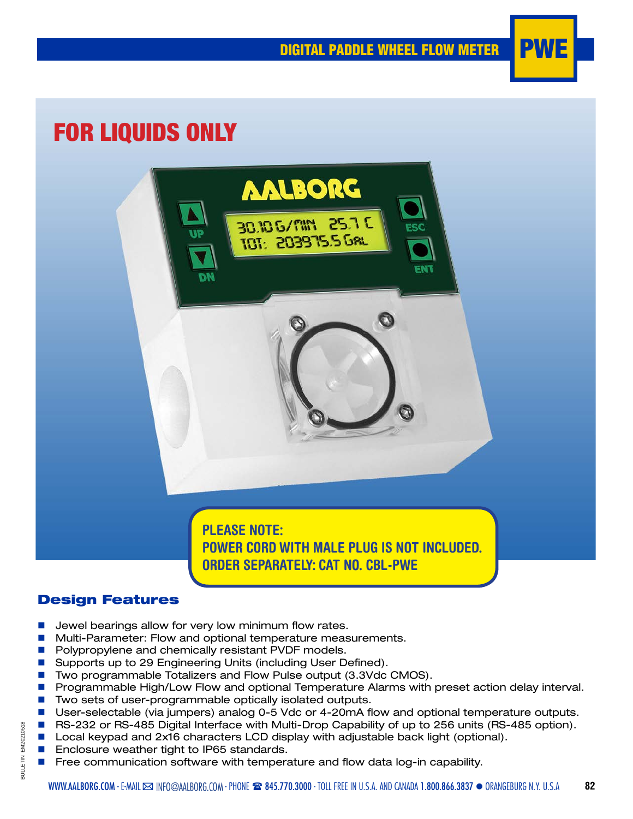## FOR LIQUIDS ONLY



**POWER CORD WITH MALE PLUG IS NOT INCLUDED. ORDER SEPARATELY: CAT NO. CBL-PWE**

## Design Features

- Jewel bearings allow for very low minimum flow rates.
- Multi-Parameter: Flow and optional temperature measurements.
- **n** Polypropylene and chemically resistant PVDF models.
- Supports up to 29 Engineering Units (including User Defined).
- Two programmable Totalizers and Flow Pulse output (3.3Vdc CMOS).
- **n** Programmable High/Low Flow and optional Temperature Alarms with preset action delay interval.
- Two sets of user-programmable optically isolated outputs.
- User-selectable (via jumpers) analog 0-5 Vdc or 4-20mA flow and optional temperature outputs.
- RS-232 or RS-485 Digital Interface with Multi-Drop Capability of up to 256 units (RS-485 option).
- Local keypad and 2x16 characters LCD display with adjustable back light (optional).
- Enclosure weather tight to IP65 standards.
- Free communication software with temperature and flow data log-in capability.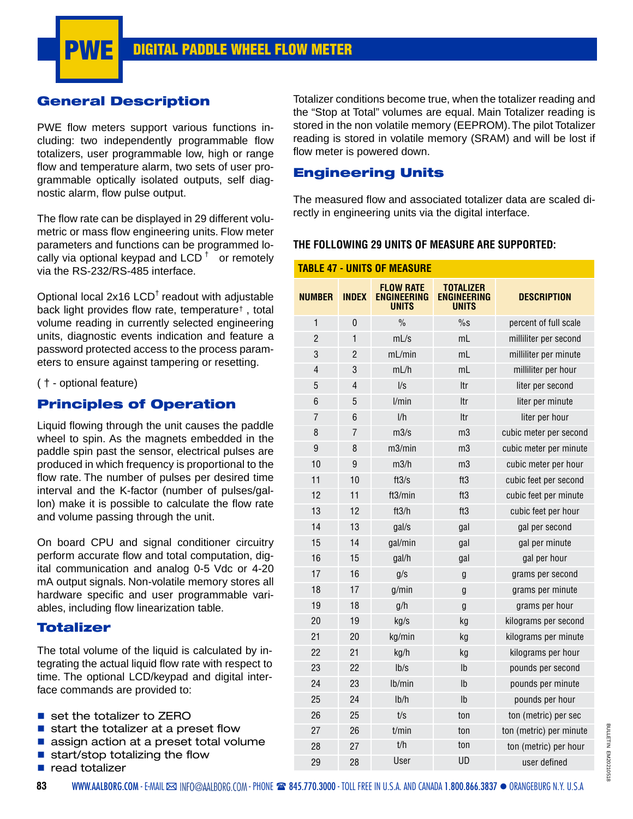## General Description

PWE flow meters support various functions including: two independently programmable flow totalizers, user programmable low, high or range flow and temperature alarm, two sets of user programmable optically isolated outputs, self diagnostic alarm, flow pulse output.

The flow rate can be displayed in 29 different volumetric or mass flow engineering units. Flow meter parameters and functions can be programmed locally via optional keypad and LCD  $^+$  or remotely via the RS-232/RS-485 interface.

Optional local  $2x16$  LCD<sup>†</sup> readout with adjustable back light provides flow rate, temperature<sup>+</sup>, total volume reading in currently selected engineering units, diagnostic events indication and feature a password protected access to the process parameters to ensure against tampering or resetting.

( † - optional feature)

## Principles of Operation

Liquid flowing through the unit causes the paddle wheel to spin. As the magnets embedded in the paddle spin past the sensor, electrical pulses are produced in which frequency is proportional to the flow rate. The number of pulses per desired time interval and the K-factor (number of pulses/gallon) make it is possible to calculate the flow rate and volume passing through the unit.

On board CPU and signal conditioner circuitry perform accurate flow and total computation, digital communication and analog 0-5 Vdc or 4-20 mA output signals. Non-volatile memory stores all hardware specific and user programmable variables, including flow linearization table.

#### Totalizer

The total volume of the liquid is calculated by integrating the actual liquid flow rate with respect to time. The optional LCD/keypad and digital interface commands are provided to:

- set the totalizer to ZERO
- $\blacksquare$  start the totalizer at a preset flow
- $\blacksquare$  assign action at a preset total volume
- $\blacksquare$  start/stop totalizing the flow
- $\blacksquare$  read totalizer

Totalizer conditions become true, when the totalizer reading and the "Stop at Total" volumes are equal. Main Totalizer reading is stored in the non volatile memory (EEPROM). The pilot Totalizer reading is stored in volatile memory (SRAM) and will be lost if flow meter is powered down.

### Engineering Units

**TABLE 47 - UNITS OF MEASURE**

The measured flow and associated totalizer data are scaled directly in engineering units via the digital interface.

#### **THE FOLLOWING 29 UNITS OF MEASURE ARE SUPPORTED:**

| <u> IADLE 47 - UNITO UF MEASUNE</u> |              |                                          |                                                 |                         |
|-------------------------------------|--------------|------------------------------------------|-------------------------------------------------|-------------------------|
| <b>NUMBER</b>                       | <b>INDEX</b> | <b>FLOW RATE</b><br>ENGINEERING<br>UNITS | <b>TOTALIZER</b><br>ENGINEERING<br><b>UNITS</b> | <b>DESCRIPTION</b>      |
| 1                                   | 0            | $\frac{0}{0}$                            | %s                                              | percent of full scale   |
| $\overline{2}$                      | 1            | mL/s                                     | mL                                              | milliliter per second   |
| 3                                   | 2            | mL/min                                   | mL                                              | milliliter per minute   |
| $\overline{4}$                      | 3            | mL/h                                     | mL                                              | milliliter per hour     |
| 5                                   | 4            | I/S                                      | ltr                                             | liter per second        |
| 6                                   | 5            | l/min                                    | ltr                                             | liter per minute        |
| 7                                   | 6            | 1/h                                      | Itr                                             | liter per hour          |
| 8                                   | 7            | m3/s                                     | m <sub>3</sub>                                  | cubic meter per second  |
| 9                                   | 8            | m3/min                                   | m <sub>3</sub>                                  | cubic meter per minute  |
| 10                                  | 9            | m3/h                                     | m <sub>3</sub>                                  | cubic meter per hour    |
| 11                                  | 10           | ft3/s                                    | ft3                                             | cubic feet per second   |
| 12                                  | 11           | ft3/min                                  | ft3                                             | cubic feet per minute   |
| 13                                  | 12           | ft3/h                                    | ft3                                             | cubic feet per hour     |
| 14                                  | 13           | gal/s                                    | gal                                             | gal per second          |
| 15                                  | 14           | gal/min                                  | gal                                             | gal per minute          |
| 16                                  | 15           | gal/h                                    | gal                                             | gal per hour            |
| 17                                  | 16           | q/s                                      | g                                               | grams per second        |
| 18                                  | 17           | g/min                                    | g                                               | grams per minute        |
| 19                                  | 18           | g/h                                      | g                                               | grams per hour          |
| 20                                  | 19           | kg/s                                     | kg                                              | kilograms per second    |
| 21                                  | 20           | kg/min                                   | kg                                              | kilograms per minute    |
| 22                                  | 21           | kg/h                                     | kg                                              | kilograms per hour      |
| 23                                  | 22           | lb/s                                     | Ib                                              | pounds per second       |
| 24                                  | 23           | lb/min                                   | Ib                                              | pounds per minute       |
| 25                                  | 24           | lb/h                                     | Ib                                              | pounds per hour         |
| 26                                  | 25           | t/s                                      | ton                                             | ton (metric) per sec    |
| 27                                  | 26           | t/min                                    | ton                                             | ton (metric) per minute |
| 28                                  | 27           | t/h                                      | ton                                             | ton (metric) per hour   |
| 29                                  | 28           | User                                     | <b>UD</b>                                       | user defined            |
|                                     |              |                                          |                                                 |                         |

# BULLETIN EM20210518 BULLETIN EM20210518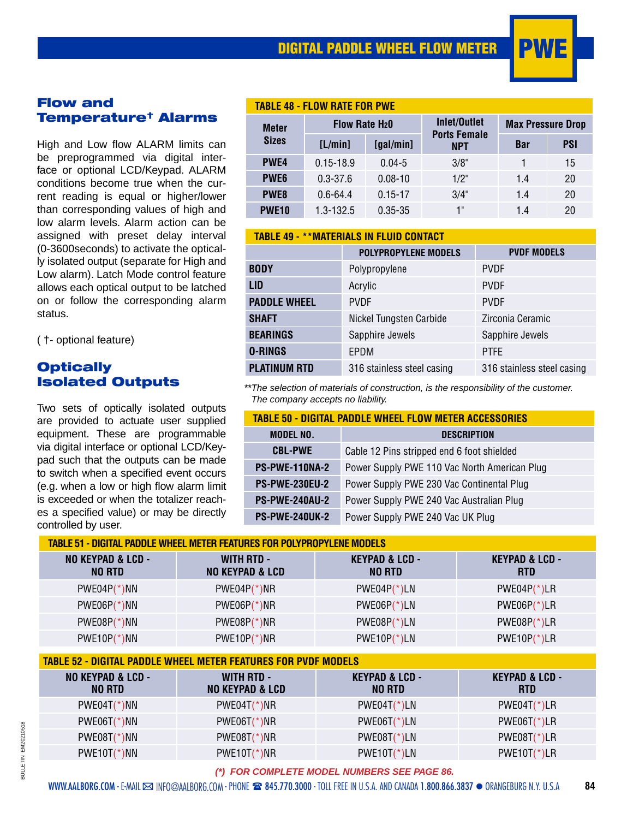

## Flow and Temperature† Alarms

High and Low flow ALARM limits can be preprogrammed via digital interface or optional LCD/Keypad. ALARM conditions become true when the current reading is equal or higher/lower than corresponding values of high and low alarm levels. Alarm action can be assigned with preset delay interval (0-3600seconds) to activate the optically isolated output (separate for High and Low alarm). Latch Mode control feature allows each optical output to be latched on or follow the corresponding alarm status.

( †- optional feature)

## **Optically** Isolated Outputs

Two sets of optically isolated outputs are provided to actuate user supplied equipment. These are programmable via digital interface or optional LCD/Keypad such that the outputs can be made to switch when a specified event occurs (e.g. when a low or high flow alarm limit is exceeded or when the totalizer reaches a specified value) or may be directly controlled by user.

#### **TABLE 48 - FLOW RATE FOR PWE**

| <b>Meter</b> | <b>Flow Rate H<sub>2</sub>0</b> |             | Inlet/Outlet<br><b>Ports Female</b><br><b>NPT</b> | <b>Max Pressure Drop</b> |            |
|--------------|---------------------------------|-------------|---------------------------------------------------|--------------------------|------------|
| <b>Sizes</b> | [L/min]                         | [gal/min]   |                                                   | Bar                      | <b>PSI</b> |
| <b>PWE4</b>  | $0.15 - 18.9$                   | $0.04 - 5$  | 3/8"                                              | 1                        | 15         |
| <b>PWE6</b>  | $0.3 - 37.6$                    | $0.08 - 10$ | 1/2"                                              | 1.4                      | 20         |
| <b>PWE8</b>  | $0.6 - 64.4$                    | $0.15 - 17$ | 3/4"                                              | 1.4                      | 20         |
| <b>PWE10</b> | $1.3 - 132.5$                   | $0.35 - 35$ | 1"                                                | 1.4                      | 20         |

#### **TABLE 49 - \*\*MATERIALS IN FLUID CONTACT**

|                     | <b>POLYPROPYLENE MODELS</b> | <b>PVDF MODELS</b>         |
|---------------------|-----------------------------|----------------------------|
| <b>BODY</b>         | Polypropylene               | <b>PVDF</b>                |
| <b>LID</b>          | Acrylic                     | <b>PVDF</b>                |
| <b>PADDLE WHEEL</b> | <b>PVDF</b>                 | <b>PVDF</b>                |
| <b>SHAFT</b>        | Nickel Tungsten Carbide     | Zirconia Ceramic           |
| <b>BEARINGS</b>     | Sapphire Jewels             | Sapphire Jewels            |
| <b>O-RINGS</b>      | EPDM                        | <b>PTFE</b>                |
| <b>PLATINUM RTD</b> | 316 stainless steel casing  | 316 stainless steel casing |

*\*\*The selection of materials of construction, is the responsibility of the customer. The company accepts no liability.*

| <b>TABLE 50 - DIGITAL PADDLE WHEEL FLOW METER ACCESSORIES</b> |                                              |  |  |
|---------------------------------------------------------------|----------------------------------------------|--|--|
| <b>MODEL NO.</b>                                              | <b>DESCRIPTION</b>                           |  |  |
| <b>CBL-PWE</b>                                                | Cable 12 Pins stripped end 6 foot shielded   |  |  |
| PS-PWE-110NA-2                                                | Power Supply PWE 110 Vac North American Plug |  |  |
| <b>PS-PWE-230EU-2</b>                                         | Power Supply PWE 230 Vac Continental Plug    |  |  |
| <b>PS-PWE-240AU-2</b>                                         | Power Supply PWE 240 Vac Australian Plug     |  |  |
| <b>PS-PWE-240UK-2</b>                                         | Power Supply PWE 240 Vac UK Plug             |  |  |

#### **TABLE 51 - DIGITAL PADDLE WHEEL METER FEATURES FOR POLYPROPYLENE MODELS**

| <b>NO KEYPAD &amp; LCD -</b><br>NO RTD | WITH RTD -<br><b>NO KEYPAD &amp; LCD</b> | <b>KEYPAD &amp; LCD -</b><br>NO RTD | <b>KEYPAD &amp; LCD -</b><br><b>RTD</b> |
|----------------------------------------|------------------------------------------|-------------------------------------|-----------------------------------------|
| $PWE04P(*)NN$                          | $PWE04P(*)NR$                            | $PWE04P(*)LN$                       | $PWE04P(*)LR$                           |
| $PWE06P(*)NN$                          | $PWE06P(*)NR$                            | $PWE06P(*)LN$                       | $PWE06P(*)LR$                           |
| $PWE08P(*)NN$                          | $PWE08P(*)NR$                            | $PWE08P(*)LN$                       | $PWE08P(*)LR$                           |
| $PWE10P(*)NN$                          | $PWE10P(*)NR$                            | $PWE10P(*)LN$                       | $PWE10P(*)LR$                           |

| <b>TABLE 52 - DIGITAL PADDLE WHEEL METER FEATURES FOR PVDF MODELS</b> |
|-----------------------------------------------------------------------|
|                                                                       |

| <b>NO KEYPAD &amp; LCD -</b><br>NO RTD | <b>WITH RTD -</b><br><b>NO KEYPAD &amp; LCD</b> | <b>KEYPAD &amp; LCD -</b><br>NO RTD | <b>KEYPAD &amp; LCD -</b><br><b>RTD</b> |
|----------------------------------------|-------------------------------------------------|-------------------------------------|-----------------------------------------|
| $PWE04T({^*})NN$                       | $PWE04T(*)NR$                                   | $PWE04T(*)LN$                       | $PWE04T({*})LR$                         |
| $PWE06T(*)NN$                          | $PWE06T(*)NR$                                   | $PWE06T(*)LN$                       | $PWE06T(*)LR$                           |
| $PWE08T(*)NN$                          | $PWE08T(*)NR$                                   | $PWE08T(*)LN$                       | $PWE08T(*)LR$                           |
| $PWE10T(*)NN$                          | $PWE10T(*)NR$                                   | $PWE10T(*)LN$                       | $PWE10T({*})LR$                         |

*(\*) FOR COMPLETE MODEL NUMBERS SEE PAGE 86.*

**84**  $WWW.AALBORG.COM - E-MAIL  $\approx$  INFO@AALBORG.COM - PHONE  $\approx$  845.770.3000 - TOLL FREE IN U.S.A. AND CANADA 1.800.866.3837  $\bullet$  ORANGEBURG N.Y. U.S.A$  $WWW.AALBORG.COM - E-MAIL  $\approx$  INFO@AALBORG.COM - PHONE  $\approx$  845.770.3000 - TOLL FREE IN U.S.A. AND CANADA 1.800.866.3837  $\bullet$  ORANGEBURG N.Y. U.S.A$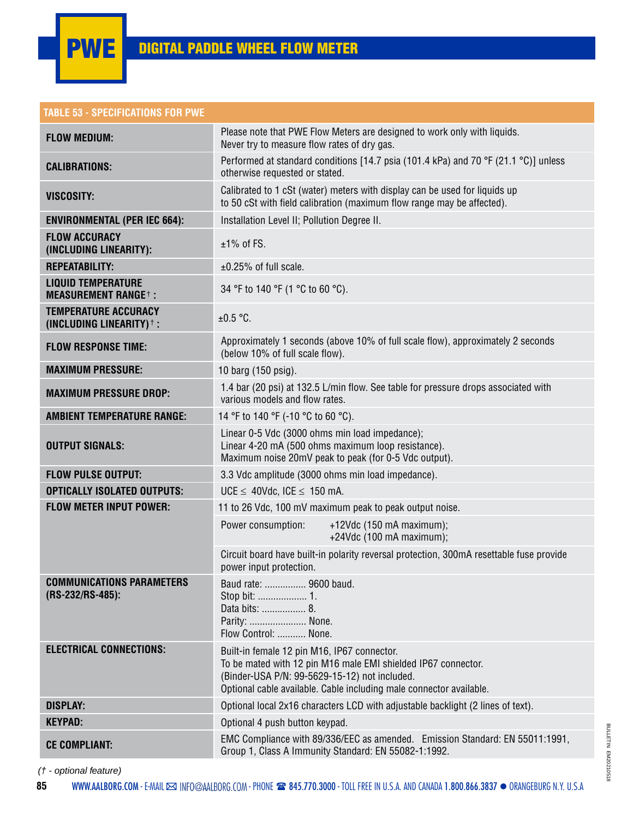#### **TABLE 53 - SPECIFICATIONS FOR PWE**

| <b>FLOW MEDIUM:</b>                                                                                                                                                                     | Please note that PWE Flow Meters are designed to work only with liquids.<br>Never try to measure flow rates of dry gas.                                                                                                              |  |
|-----------------------------------------------------------------------------------------------------------------------------------------------------------------------------------------|--------------------------------------------------------------------------------------------------------------------------------------------------------------------------------------------------------------------------------------|--|
| <b>CALIBRATIONS:</b>                                                                                                                                                                    | Performed at standard conditions [14.7 psia (101.4 kPa) and 70 °F (21.1 °C)] unless<br>otherwise requested or stated.                                                                                                                |  |
| VISCOSITY:                                                                                                                                                                              | Calibrated to 1 cSt (water) meters with display can be used for liquids up<br>to 50 cSt with field calibration (maximum flow range may be affected).                                                                                 |  |
| <b>ENVIRONMENTAL (PER IEC 664):</b>                                                                                                                                                     | Installation Level II; Pollution Degree II.                                                                                                                                                                                          |  |
| <b>FLOW ACCURACY</b><br>(INCLUDING LINEARITY):                                                                                                                                          | $±1\%$ of FS.                                                                                                                                                                                                                        |  |
| <b>REPEATABILITY:</b>                                                                                                                                                                   | $\pm 0.25\%$ of full scale.                                                                                                                                                                                                          |  |
| <b>LIQUID TEMPERATURE</b><br><b>MEASUREMENT RANGE+:</b>                                                                                                                                 | 34 °F to 140 °F (1 °C to 60 °C).                                                                                                                                                                                                     |  |
| <b>TEMPERATURE ACCURACY</b><br>(INCLUDING LINEARITY) <sup>†</sup> :                                                                                                                     | $±0.5 °C$ .                                                                                                                                                                                                                          |  |
| <b>FLOW RESPONSE TIME:</b>                                                                                                                                                              | Approximately 1 seconds (above 10% of full scale flow), approximately 2 seconds<br>(below 10% of full scale flow).                                                                                                                   |  |
| <b>MAXIMUM PRESSURE:</b>                                                                                                                                                                | 10 barg (150 psig).                                                                                                                                                                                                                  |  |
| <b>MAXIMUM PRESSURE DROP:</b>                                                                                                                                                           | 1.4 bar (20 psi) at 132.5 L/min flow. See table for pressure drops associated with<br>various models and flow rates.                                                                                                                 |  |
| <b>AMBIENT TEMPERATURE RANGE:</b>                                                                                                                                                       | 14 °F to 140 °F (-10 °C to 60 °C).                                                                                                                                                                                                   |  |
| Linear 0-5 Vdc (3000 ohms min load impedance);<br>Linear 4-20 mA (500 ohms maximum loop resistance).<br><b>OUTPUT SIGNALS:</b><br>Maximum noise 20mV peak to peak (for 0-5 Vdc output). |                                                                                                                                                                                                                                      |  |
| <b>FLOW PULSE OUTPUT:</b>                                                                                                                                                               | 3.3 Vdc amplitude (3000 ohms min load impedance).                                                                                                                                                                                    |  |
| <b>OPTICALLY ISOLATED OUTPUTS:</b>                                                                                                                                                      | UCE $\leq$ 40Vdc, ICE $\leq$ 150 mA.                                                                                                                                                                                                 |  |
| <b>FLOW METER INPUT POWER:</b>                                                                                                                                                          | 11 to 26 Vdc, 100 mV maximum peak to peak output noise.                                                                                                                                                                              |  |
|                                                                                                                                                                                         | Power consumption:<br>+12Vdc (150 mA maximum);<br>+24Vdc (100 mA maximum);                                                                                                                                                           |  |
|                                                                                                                                                                                         | Circuit board have built-in polarity reversal protection, 300mA resettable fuse provide<br>power input protection.                                                                                                                   |  |
| <b>COMMUNICATIONS PARAMETERS</b><br>(RS-232/RS-485):                                                                                                                                    | Baud rate:  9600 baud.<br>Data bits:  8.<br>Parity:  None.<br>Flow Control:  None.                                                                                                                                                   |  |
| <b>ELECTRICAL CONNECTIONS:</b>                                                                                                                                                          | Built-in female 12 pin M16, IP67 connector.<br>To be mated with 12 pin M16 male EMI shielded IP67 connector.<br>(Binder-USA P/N: 99-5629-15-12) not included.<br>Optional cable available. Cable including male connector available. |  |
| <b>DISPLAY:</b>                                                                                                                                                                         | Optional local 2x16 characters LCD with adjustable backlight (2 lines of text).                                                                                                                                                      |  |
| <b>KEYPAD:</b>                                                                                                                                                                          | Optional 4 push button keypad.                                                                                                                                                                                                       |  |
| <b>CE COMPLIANT:</b>                                                                                                                                                                    | EMC Compliance with 89/336/EEC as amended. Emission Standard: EN 55011:1991,<br>Group 1, Class A Immunity Standard: EN 55082-1:1992.                                                                                                 |  |

*(† - optional feature)*